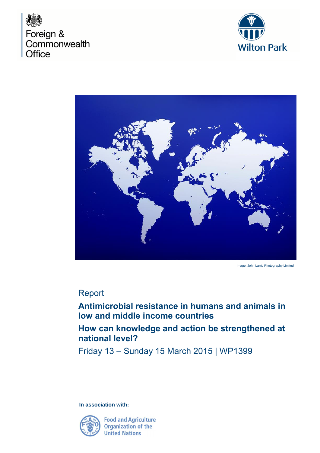





Image: John Lamb Photography Limited

## Report

**Antimicrobial resistance in humans and animals in low and middle income countries**

**How can knowledge and action be strengthened at national level?**

Friday 13 – Sunday 15 March 2015 | WP1399

**In association with:** 

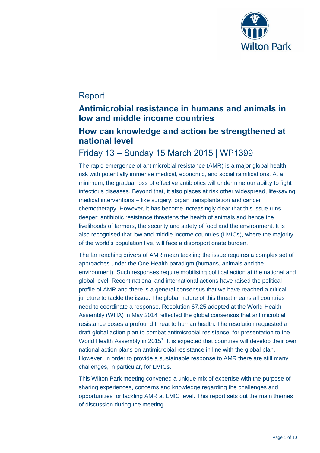

# Report

# **Antimicrobial resistance in humans and animals in low and middle income countries**

# **How can knowledge and action be strengthened at national level**

## Friday 13 – Sunday 15 March 2015 | WP1399

The rapid emergence of antimicrobial resistance (AMR) is a major global health risk with potentially immense medical, economic, and social ramifications. At a minimum, the gradual loss of effective antibiotics will undermine our ability to fight infectious diseases. Beyond that, it also places at risk other widespread, life-saving medical interventions – like surgery, organ transplantation and cancer chemotherapy. However, it has become increasingly clear that this issue runs deeper; antibiotic resistance threatens the health of animals and hence the livelihoods of farmers, the security and safety of food and the environment. It is also recognised that low and middle income countries (LMICs), where the majority of the world's population live, will face a disproportionate burden.

The far reaching drivers of AMR mean tackling the issue requires a complex set of approaches under the One Health paradigm (humans, animals and the environment). Such responses require mobilising political action at the national and global level. Recent national and international actions have raised the political profile of AMR and there is a general consensus that we have reached a critical juncture to tackle the issue. The global nature of this threat means all countries need to coordinate a response. Resolution 67.25 adopted at the World Health Assembly (WHA) in May 2014 reflected the global consensus that antimicrobial resistance poses a profound threat to human health. The resolution requested a draft global action plan to combat antimicrobial resistance, for presentation to the World Health Assembly in 2015<sup>1</sup>. It is expected that countries will develop their own national action plans on antimicrobial resistance in line with the global plan. However, in order to provide a sustainable response to AMR there are still many challenges, in particular, for LMICs.

This Wilton Park meeting convened a unique mix of expertise with the purpose of sharing experiences, concerns and knowledge regarding the challenges and opportunities for tackling AMR at LMIC level. This report sets out the main themes of discussion during the meeting.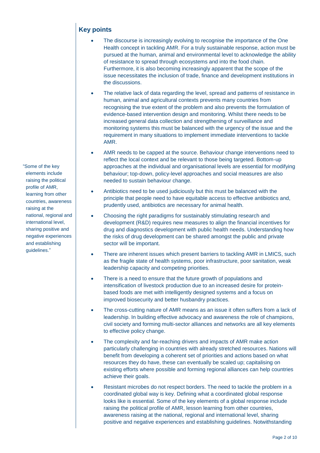## **Key points**

- The discourse is increasingly evolving to recognise the importance of the One Health concept in tackling AMR. For a truly sustainable response, action must be pursued at the human, animal and environmental level to acknowledge the ability of resistance to spread through ecosystems and into the food chain. Furthermore, it is also becoming increasingly apparent that the scope of the issue necessitates the inclusion of trade, finance and development institutions in the discussions.
- The relative lack of data regarding the level, spread and patterns of resistance in human, animal and agricultural contexts prevents many countries from recognising the true extent of the problem and also prevents the formulation of evidence-based intervention design and monitoring. Whilst there needs to be increased general data collection and strengthening of surveillance and monitoring systems this must be balanced with the urgency of the issue and the requirement in many situations to implement immediate interventions to tackle AMR.
- AMR needs to be capped at the source. Behaviour change interventions need to reflect the local context and be relevant to those being targeted. Bottom-up approaches at the individual and organisational levels are essential for modifying behaviour; top-down, policy-level approaches and social measures are also needed to sustain behaviour change.
- Antibiotics need to be used judiciously but this must be balanced with the principle that people need to have equitable access to effective antibiotics and, prudently used, antibiotics are necessary for animal health.
- Choosing the right paradigms for sustainably stimulating research and development (R&D) requires new measures to align the financial incentives for drug and diagnostics development with public health needs. Understanding how the risks of drug development can be shared amongst the public and private sector will be important.
- There are inherent issues which present barriers to tackling AMR in LMICS, such as the fragile state of health systems, poor infrastructure, poor sanitation, weak leadership capacity and competing priorities.
- There is a need to ensure that the future growth of populations and intensification of livestock production due to an increased desire for proteinbased foods are met with intelligently designed systems and a focus on improved biosecurity and better husbandry practices.
- The cross-cutting nature of AMR means as an issue it often suffers from a lack of leadership. In building effective advocacy and awareness the role of champions, civil society and forming multi-sector alliances and networks are all key elements to effective policy change.
- The complexity and far-reaching drivers and impacts of AMR make action particularly challenging in countries with already stretched resources. Nations will benefit from developing a coherent set of priorities and actions based on what resources they do have, these can eventually be scaled up; capitalising on existing efforts where possible and forming regional alliances can help countries achieve their goals.
- Resistant microbes do not respect borders. The need to tackle the problem in a coordinated global way is key. Defining what a coordinated global response looks like is essential. Some of the key elements of a global response include raising the political profile of AMR, lesson learning from other countries, awareness raising at the national, regional and international level, sharing positive and negative experiences and establishing guidelines. Notwithstanding

"Some of the key elements include raising the political profile of AMR, learning from other countries, awareness raising at the national, regional and international level, sharing positive and negative experiences and establishing guidelines."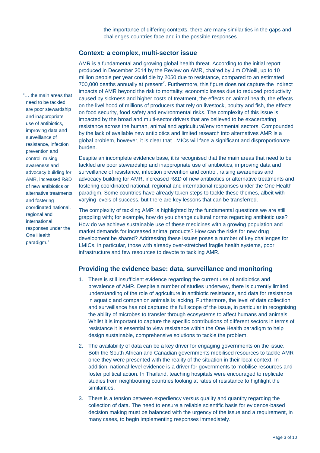the importance of differing contexts, there are many similarities in the gaps and challenges countries face and in the possible responses.

### **Context: a complex, multi-sector issue**

AMR is a fundamental and growing global health threat. According to the initial report produced in December 2014 by the Review on AMR, chaired by Jim O'Neill, up to 10 million people per year could die by 2050 due to resistance, compared to an estimated 700,000 deaths annually at present<sup>2</sup>. Furthermore, this figure does not capture the indirect impacts of AMR beyond the risk to mortality; economic losses due to reduced productivity caused by sickness and higher costs of treatment, the effects on animal health, the effects on the livelihood of millions of producers that rely on livestock, poultry and fish, the effects on food security, food safety and environmental risks. The complexity of this issue is impacted by the broad and multi-sector drivers that are believed to be exacerbating resistance across the human, animal and agricultural/environmental sectors. Compounded by the lack of available new antibiotics and limited research into alternatives AMR is a global problem, however, it is clear that LMICs will face a significant and disproportionate burden.

Despite an incomplete evidence base, it is recognised that the main areas that need to be tackled are poor stewardship and inappropriate use of antibiotics, improving data and surveillance of resistance, infection prevention and control, raising awareness and advocacy building for AMR, increased R&D of new antibiotics or alternative treatments and fostering coordinated national, regional and international responses under the One Health paradigm. Some countries have already taken steps to tackle these themes, albeit with varying levels of success, but there are key lessons that can be transferred.

The complexity of tackling AMR is highlighted by the fundamental questions we are still grappling with; for example, how do you change cultural norms regarding antibiotic use? How do we achieve sustainable use of these medicines with a growing population and market demands for increased animal products? How can the risks for new drug development be shared? Addressing these issues poses a number of key challenges for LMICs, in particular, those with already over-stretched fragile health systems, poor infrastructure and few resources to devote to tackling AMR.

### **Providing the evidence base: data, surveillance and monitoring**

- 1. There is still insufficient evidence regarding the current use of antibiotics and prevalence of AMR. Despite a number of studies underway, there is currently limited understanding of the role of agriculture in antibiotic resistance, and data for resistance in aquatic and companion animals is lacking. Furthermore, the level of data collection and surveillance has not captured the full scope of the issue, in particular in recognising the ability of microbes to transfer through ecosystems to affect humans and animals. Whilst it is important to capture the specific contributions of different sectors in terms of resistance it is essential to view resistance within the One Health paradigm to help design sustainable, comprehensive solutions to tackle the problem.
- 2. The availability of data can be a key driver for engaging governments on the issue. Both the South African and Canadian governments mobilised resources to tackle AMR once they were presented with the reality of the situation in their local context. In addition, national-level evidence is a driver for governments to mobilise resources and foster political action. In Thailand, teaching hospitals were encouraged to replicate studies from neighbouring countries looking at rates of resistance to highlight the similarities.
- 3. There is a tension between expediency versus quality and quantity regarding the collection of data. The need to ensure a reliable scientific basis for evidence-based decision making must be balanced with the urgency of the issue and a requirement, in many cases, to begin implementing responses immediately.

"… the main areas that need to be tackled are poor stewardship and inappropriate use of antibiotics, improving data and surveillance of resistance, infection prevention and control, raising awareness and advocacy building for AMR, increased R&D of new antibiotics or alternative treatments and fostering coordinated national, regional and international responses under the One Health paradigm."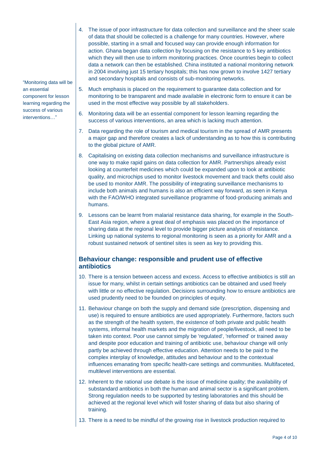- 4. The issue of poor infrastructure for data collection and surveillance and the sheer scale of data that should be collected is a challenge for many countries. However, where possible, starting in a small and focused way can provide enough information for action. Ghana began data collection by focusing on the resistance to 5 key antibiotics which they will then use to inform monitoring practices. Once countries begin to collect data a network can then be established. China instituted a national monitoring network in 2004 involving just 15 tertiary hospitals; this has now grown to involve 1427 tertiary and secondary hospitals and consists of sub-monitoring networks.
- 5. Much emphasis is placed on the requirement to guarantee data collection and for monitoring to be transparent and made available in electronic form to ensure it can be used in the most effective way possible by all stakeholders.
	- 6. Monitoring data will be an essential component for lesson learning regarding the success of various interventions, an area which is lacking much attention.
	- 7. Data regarding the role of tourism and medical tourism in the spread of AMR presents a major gap and therefore creates a lack of understanding as to how this is contributing to the global picture of AMR.
	- 8. Capitalising on existing data collection mechanisms and surveillance infrastructure is one way to make rapid gains on data collection for AMR. Partnerships already exist looking at counterfeit medicines which could be expanded upon to look at antibiotic quality, and microchips used to monitor livestock movement and track thefts could also be used to monitor AMR. The possibility of integrating surveillance mechanisms to include both animals and humans is also an efficient way forward, as seen in Kenya with the FAO/WHO integrated surveillance programme of food-producing animals and humans.
	- 9. Lessons can be learnt from malarial resistance data sharing, for example in the South-East Asia region, where a great deal of emphasis was placed on the importance of sharing data at the regional level to provide bigger picture analysis of resistance. Linking up national systems to regional monitoring is seen as a priority for AMR and a robust sustained network of sentinel sites is seen as key to providing this.

### **Behaviour change: responsible and prudent use of effective antibiotics**

- 10. There is a tension between access and excess. Access to effective antibiotics is still an issue for many, whilst in certain settings antibiotics can be obtained and used freely with little or no effective regulation. Decisions surrounding how to ensure antibiotics are used prudently need to be founded on principles of equity.
- 11. Behaviour change on both the supply and demand side (prescription, dispensing and use) is required to ensure antibiotics are used appropriately. Furthermore, factors such as the strength of the health system, the existence of both private and public health systems, informal health markets and the migration of people/livestock, all need to be taken into context. Poor use cannot simply be 'regulated', 'reformed' or trained away and despite poor education and training of antibiotic use, behaviour change will only partly be achieved through effective education. Attention needs to be paid to the complex interplay of knowledge, attitudes and behaviour and to the contextual influences emanating from specific health-care settings and communities. Multifaceted, multilevel interventions are essential.
- 12. Inherent to the rational use debate is the issue of medicine quality; the availability of substandard antibiotics in both the human and animal sector is a significant problem. Strong regulation needs to be supported by testing laboratories and this should be achieved at the regional level which will foster sharing of data but also sharing of training.
- 13. There is a need to be mindful of the growing rise in livestock production required to

"Monitoring data will be an essential component for lesson learning regarding the success of various interventions…"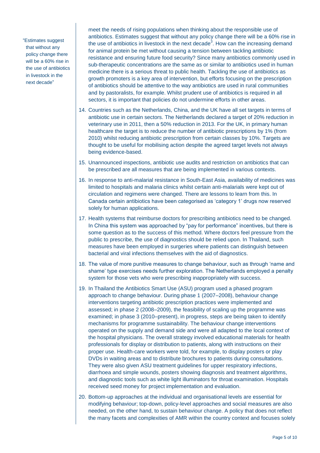"Estimates suggest that without any policy change there will be a 60% rise in the use of antibiotics in livestock in the next decade"

meet the needs of rising populations when thinking about the responsible use of antibiotics. Estimates suggest that without any policy change there will be a 60% rise in the use of antibiotics in livestock in the next decade<sup>3</sup>. How can the increasing demand for animal protein be met without causing a tension between tackling antibiotic resistance and ensuring future food security? Since many antibiotics commonly used in sub-therapeutic concentrations are the same as or similar to antibiotics used in human medicine there is a serious threat to public health. Tackling the use of antibiotics as growth promoters is a key area of intervention, but efforts focusing on the prescription of antibiotics should be attentive to the way antibiotics are used in rural communities and by pastoralists, for example. Whilst prudent use of antibiotics is required in all sectors, it is important that policies do not undermine efforts in other areas.

- 14. Countries such as the Netherlands, China, and the UK have all set targets in terms of antibiotic use in certain sectors. The Netherlands declared a target of 20% reduction in veterinary use in 2011, then a 50% reduction in 2013. For the UK, in primary human healthcare the target is to reduce the number of antibiotic prescriptions by 1% (from 2010) whilst reducing antibiotic prescription from certain classes by 10%. Targets are thought to be useful for mobilising action despite the agreed target levels not always being evidence-based.
- 15. Unannounced inspections, antibiotic use audits and restriction on antibiotics that can be prescribed are all measures that are being implemented in various contexts.
- 16. In response to anti-malarial resistance in South-East Asia, availability of medicines was limited to hospitals and malaria clinics whilst certain anti-malarials were kept out of circulation and regimens were changed. There are lessons to learn from this. In Canada certain antibiotics have been categorised as 'category 1' drugs now reserved solely for human applications.
- 17. Health systems that reimburse doctors for prescribing antibiotics need to be changed. In China this system was approached by "pay for performance" incentives, but there is some question as to the success of this method. Where doctors feel pressure from the public to prescribe, the use of diagnostics should be relied upon. In Thailand, such measures have been employed in surgeries where patients can distinguish between bacterial and viral infections themselves with the aid of diagnostics.
- 18. The value of more punitive measures to change behaviour, such as through 'name and shame' type exercises needs further exploration. The Netherlands employed a penalty system for those vets who were prescribing inappropriately with success.
- 19. In Thailand the Antibiotics Smart Use (ASU) program used a phased program approach to change behaviour. During phase 1 (2007–2008), behaviour change interventions targeting antibiotic prescription practices were implemented and assessed; in phase 2 (2008–2009), the feasibility of scaling up the programme was examined; in phase 3 (2010–present), in progress, steps are being taken to identify mechanisms for programme sustainability. The behaviour change interventions operated on the supply and demand side and were all adapted to the local context of the hospital physicians. The overall strategy involved educational materials for health professionals for display or distribution to patients, along with instructions on their proper use. Health-care workers were told, for example, to display posters or play DVDs in waiting areas and to distribute brochures to patients during consultations. They were also given ASU treatment guidelines for upper respiratory infections, diarrhoea and simple wounds, posters showing diagnosis and treatment algorithms, and diagnostic tools such as white light illuminators for throat examination. Hospitals received seed money for project implementation and evaluation.
- 20. Bottom-up approaches at the individual and organisational levels are essential for modifying behaviour; top-down, policy-level approaches and social measures are also needed, on the other hand, to sustain behaviour change. A policy that does not reflect the many facets and complexities of AMR within the country context and focuses solely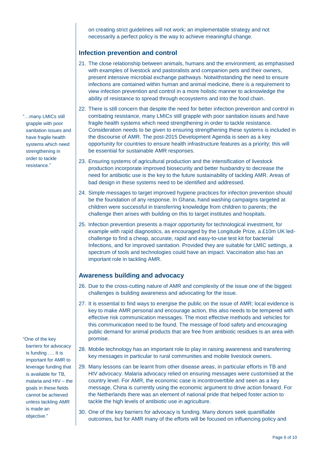on creating strict guidelines will not work; an implementable strategy and not necessarily a perfect policy is the way to achieve meaningful change.

### **Infection prevention and control**

- 21. The close relationship between animals, humans and the environment, as emphasised with examples of livestock and pastoralists and companion pets and their owners, present intensive microbial exchange pathways. Notwithstanding the need to ensure infections are contained within human and animal medicine, there is a requirement to view infection prevention and control in a more holistic manner to acknowledge the ability of resistance to spread through ecosystems and into the food chain.
- 22. There is still concern that despite the need for better infection prevention and control in combating resistance, many LMICs still grapple with poor sanitation issues and have fragile health systems which need strengthening in order to tackle resistance. Consideration needs to be given to ensuring strengthening these systems is included in the discourse of AMR. The post-2015 Development Agenda is seen as a key opportunity for countries to ensure health infrastructure features as a priority; this will be essential for sustainable AMR responses.
- 23. Ensuring systems of agricultural production and the intensification of livestock production incorporate improved biosecurity and better husbandry to decrease the need for antibiotic use is the key to the future sustainability of tackling AMR. Areas of bad design in these systems need to be identified and addressed.
- 24. Simple messages to target improved hygiene practices for infection prevention should be the foundation of any response. In Ghana, hand washing campaigns targeted at children were successful in transferring knowledge from children to parents; the challenge then arises with building on this to target institutes and hospitals.
- 25. Infection prevention presents a major opportunity for technological investment, for example with rapid diagnostics, as encouraged by the Longitude Prize, a £10m UK ledchallenge to find a cheap, accurate, rapid and easy-to-use test kit for bacterial Infections, and for improved sanitation. Provided they are suitable for LMIC settings, a spectrum of tools and technologies could have an impact. Vaccination also has an important role in tackling AMR.

### **Awareness building and advocacy**

- 26. Due to the cross-cutting nature of AMR and complexity of the issue one of the biggest challenges is building awareness and advocating for the issue.
- 27. It is essential to find ways to energise the public on the issue of AMR; local evidence is key to make AMR personal and encourage action, this also needs to be tempered with effective risk communication messages. The most effective methods and vehicles for this communication need to be found. The message of food safety and encouraging public demand for animal products that are free from antibiotic residues is an area with promise.
- 28. Mobile technology has an important role to play in raising awareness and transferring key messages in particular to rural communities and mobile livestock owners.
- 29. Many lessons can be learnt from other disease areas, in particular efforts in TB and HIV advocacy. Malaria advocacy relied on ensuring messages were customised at the country level. For AMR, the economic case is incontrovertible and seen as a key message, China is currently using the economic argument to drive action forward. For the Netherlands there was an element of national pride that helped foster action to tackle the high levels of antibiotic use in agriculture.
- 30. One of the key barriers for advocacy is funding. Many donors seek quantifiable outcomes, but for AMR many of the efforts will be focused on influencing policy and

"…many LMICs still grapple with poor sanitation issues and have fragile health systems which need strengthening in order to tackle resistance."

"One of the key barriers for advocacy is funding …. It is important for AMR to leverage funding that is available for TB, malaria and HIV – the goals in these fields cannot be achieved unless tackling AMR is made an objective."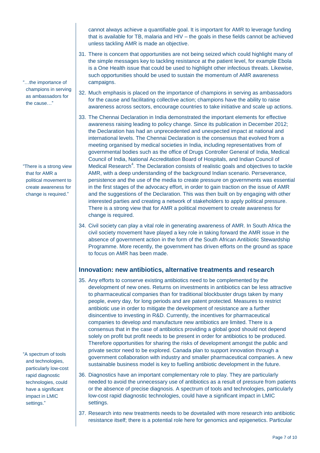cannot always achieve a quantifiable goal. It is important for AMR to leverage funding that is available for TB, malaria and HIV – the goals in these fields cannot be achieved unless tackling AMR is made an objective.

- 31. There is concern that opportunities are not being seized which could highlight many of the simple messages key to tackling resistance at the patient level, for example Ebola is a One Health issue that could be used to highlight other infectious threats. Likewise, such opportunities should be used to sustain the momentum of AMR awareness campaigns.
- 32. Much emphasis is placed on the importance of champions in serving as ambassadors for the cause and facilitating collective action; champions have the ability to raise awareness across sectors, encourage countries to take initiative and scale up actions.
- 33. The Chennai Declaration in India demonstrated the important elements for effective awareness raising leading to policy change. Since its publication in December 2012; the Declaration has had an unprecedented and unexpected impact at national and international levels. The Chennai Declaration is the consensus that evolved from a meeting organised by medical societies in India, including representatives from of governmental bodies such as the office of Drugs Controller General of India, Medical Council of India, National Accreditation Board of Hospitals, and Indian Council of Medical Research $4$ . The Declaration consists of realistic goals and objectives to tackle AMR, with a deep understanding of the background Indian scenario. Perseverance, persistence and the use of the media to create pressure on governments was essential in the first stages of the advocacy effort, in order to gain traction on the issue of AMR and the suggestions of the Declaration. This was then built on by engaging with other interested parties and creating a network of stakeholders to apply political pressure. There is a strong view that for AMR a political movement to create awareness for change is required.
- 34. Civil society can play a vital role in generating awareness of AMR. In South Africa the civil society movement have played a key role in taking forward the AMR issue in the absence of government action in the form of the South African Antibiotic Stewardship Programme. More recently, the government has driven efforts on the ground as space to focus on AMR has been made.

#### **Innovation: new antibiotics, alternative treatments and research**

- 35. Any efforts to conserve existing antibiotics need to be complemented by the development of new ones. Returns on investments in antibiotics can be less attractive to pharmaceutical companies than for traditional blockbuster drugs taken by many people, every day, for long periods and are patent protected. Measures to restrict antibiotic use in order to mitigate the development of resistance are a further disincentive to investing in R&D. Currently, the incentives for pharmaceutical companies to develop and manufacture new antibiotics are limited. There is a consensus that in the case of antibiotics providing a global good should not depend solely on profit but profit needs to be present in order for antibiotics to be produced. Therefore opportunities for sharing the risks of development amongst the public and private sector need to be explored. Canada plan to support innovation through a government collaboration with industry and smaller pharmaceutical companies. A new sustainable business model is key to fuelling antibiotic development in the future.
- 36. Diagnostics have an important complementary role to play. They are particularly needed to avoid the unnecessary use of antibiotics as a result of pressure from patients or the absence of precise diagnosis. A spectrum of tools and technologies, particularly low-cost rapid diagnostic technologies, could have a significant impact in LMIC settings.
- 37. Research into new treatments needs to be dovetailed with more research into antibiotic resistance itself; there is a potential role here for genomics and epigenetics. Particular

"…the importance of champions in serving as ambassadors for the cause…"

"There is a strong view that for AMR a political movement to create awareness for change is required."

"A spectrum of tools and technologies, particularly low-cost rapid diagnostic technologies, could have a significant impact in LMIC settings."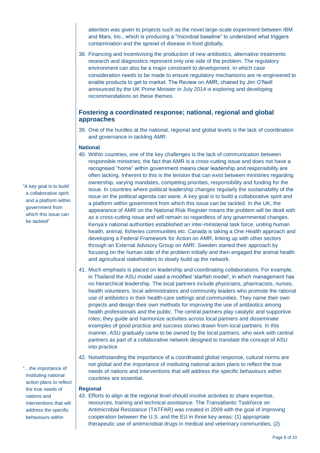attention was given to projects such as the novel large-scale experiment between IBM and Mars, Inc., which is producing a "microbial baseline" to understand what triggers contamination and the spread of disease in food globally.

38. Financing and incentivising the production of new antibiotics, alternative treatments research and diagnostics represent only one side of the problem. The regulatory environment can also be a major constraint to development. In which case consideration needs to be made to ensure regulatory mechanisms are re-engineered to enable products to get to market. The Review on AMR, chaired by Jim O'Neill announced by the UK Prime Minister in July 2014 is exploring and developing recommendations on these themes.

### **Fostering a coordinated response; national, regional and global approaches**

39. One of the hurdles at the national, regional and global levels is the lack of coordination and governance in tackling AMR.

#### **National**

- 40. Within countries, one of the key challenges is the lack of communication between responsible ministries; the fact that AMR is a cross-cutting issue and does not have a recognised "home" within government means clear leadership and responsibility are often lacking. Inherent to this is the tension that can exist between ministries regarding ownership, varying mandates, competing priorities, responsibility and funding for the issue. In countries where political leadership changes regularly the sustainability of the issue on the political agenda can wane. A key goal is to build a collaborative spirit and a platform within government from which this issue can be tackled. In the UK, the appearance of AMR on the National Risk Register means the problem will be dealt with as a cross-cutting issue and will remain so regardless of any governmental changes. Kenya's national authorities established an inter-ministerial task force, uniting human health, animal, fisheries communities etc. Canada is taking a One Health approach and developing a Federal Framework for Action on AMR, linking up with other sectors through an External Advisory Group on AMR. Sweden started their approach by focusing on the human side of the problem initially and then engaged the animal health and agricultural stakeholders to slowly build up the network.
- 41. Much emphasis is placed on leadership and coordinating collaborations. For example, in Thailand the ASU model used a modified 'starfish model', in which management has no hierarchical leadership. The local partners include physicians, pharmacists, nurses, health volunteers, local administrators and community leaders who promote the rational use of antibiotics in their health-care settings and communities. They name their own projects and design their own methods for improving the use of antibiotics among health professionals and the public. The central partners play catalytic and supportive roles; they guide and harmonize activities across local partners and disseminate examples of good practice and success stories drawn from local partners. In this manner, ASU gradually came to be owned by the local partners, who work with central partners as part of a collaborative network designed to translate the concept of ASU into practice.
- 42. Notwithstanding the importance of a coordinated global response, cultural norms are not global and the importance of instituting national action plans to reflect the true needs of nations and interventions that will address the specific behaviours within countries are essential.

#### **Regional**

43. Efforts to align at the regional level should involve activities to share expertise, resources, training and technical assistance. The Transatlantic Taskforce on Antimicrobial Resistance (TATFAR) was created in 2009 with the goal of improving cooperation between the U.S. and the EU in three key areas: (1) appropriate therapeutic use of antimicrobial drugs in medical and veterinary communities, (2)

"A key goal is to build a collaborative spirit and a platform within government from which this issue can be tackled"

"…the importance of instituting national action plans to reflect the true needs of nations and interventions that will address the specific behaviours within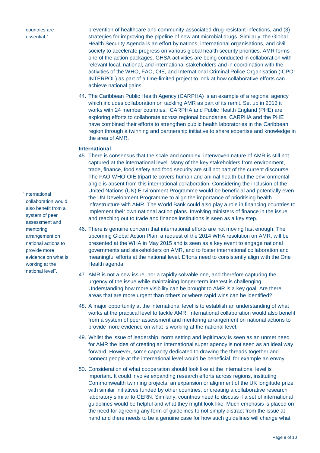countries are essential."

"International collaboration would also benefit from a system of peer assessment and mentoring arrangement on national actions to provide more evidence on what is working at the national level".

prevention of healthcare and community-associated drug-resistant infections, and (3) strategies for improving the pipeline of new antimicrobial drugs. Similarly, the Global Health Security Agenda is an effort by nations, international organisations, and civil society to accelerate progress on various global health security priorities. AMR forms one of the action packages. GHSA activities are being conducted in collaboration with relevant local, national, and international stakeholders and in coordination with the activities of the WHO, FAO, OIE, and International Criminal Police Organisation (ICPO-INTERPOL) as part of a time-limited project to look at how collaborative efforts can achieve national gains.

44. The Caribbean Public Health Agency (CARPHA) is an example of a regional agency which includes collaboration on tackling AMR as part of its remit. Set up in 2013 it works with 24 member countries. CARPHA and Public Health England (PHE) are exploring efforts to collaborate across regional boundaries. CARPHA and the PHE have combined their efforts to strengthen public health laboratories in the Caribbean region through a twinning and partnership initiative to share expertise and knowledge in the area of AMR.

#### **International**

- 45. There is consensus that the scale and complex, interwoven nature of AMR is still not captured at the international level. Many of the key stakeholders from environment, trade, finance, food safety and food security are still not part of the current discourse. The FAO-WHO-OIE tripartite covers human and animal health but the environmental angle is absent from this international collaboration. Considering the inclusion of the United Nations (UN) Environment Programme would be beneficial and potentially even the UN Development Programme to align the importance of prioritising health infrastructure with AMR. The World Bank could also play a role in financing countries to implement their own national action plans. Involving ministers of finance in the issue and reaching out to trade and finance institutions is seen as a key step.
- 46. There is genuine concern that international efforts are not moving fast enough. The upcoming Global Action Plan, a request of the 2014 WHA resolution on AMR, will be presented at the WHA in May 2015 and is seen as a key event to engage national governments and stakeholders on AMR, and to foster international collaboration and meaningful efforts at the national level. Efforts need to consistently align with the One Health agenda.
- 47. AMR is not a new issue, nor a rapidly solvable one, and therefore capturing the urgency of the issue while maintaining longer-term interest is challenging. Understanding how more visibility can be brought to AMR is a key goal. Are there areas that are more urgent than others or where rapid wins can be identified?
- 48. A major opportunity at the international level is to establish an understanding of what works at the practical level to tackle AMR. International collaboration would also benefit from a system of peer assessment and mentoring arrangement on national actions to provide more evidence on what is working at the national level.
- 49. Whilst the issue of leadership, norm setting and legitimacy is seen as an unmet need for AMR the idea of creating an international super agency is not seen as an ideal way forward. However, some capacity dedicated to drawing the threads together and connect people at the international level would be beneficial, for example an envoy.
- 50. Consideration of what cooperation should look like at the international level is important. It could involve expanding research efforts across regions, instituting Commonwealth twinning projects, an expansion or alignment of the UK longitude prize with similar initiatives funded by other countries, or creating a collaborative research laboratory similar to CERN. Similarly, countries need to discuss if a set of international guidelines would be helpful and what they might look like. Much emphasis is placed on the need for agreeing any form of guidelines to not simply distract from the issue at hand and there needs to be a genuine case for how such guidelines will change what